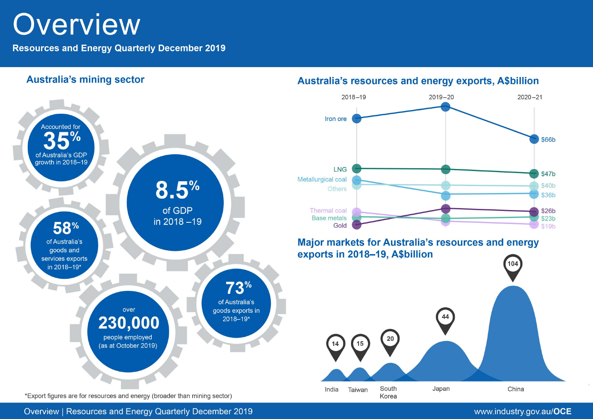# Overview

**Resources and Energy Quarterly December 2019** 



# Australia's resources and energy exports, A\$billion

www.industry.gov.au/OCE

Overview | Resources and Energy Quarterly December 2019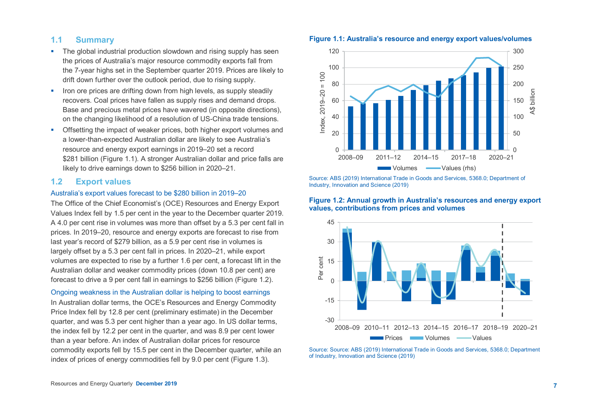## **1.1 Summary**

- The global industrial production slowdown and rising supply has seen the prices of Australia's major resource commodity exports fall from the 7-year highs set in the September quarter 2019. Prices are likely to drift down further over the outlook period, due to rising supply.
- If the prices are drifting down from high levels, as supply steadily recovers. Coal prices have fallen as supply rises and demand drops. Base and precious metal prices have wavered (in opposite directions), on the changing likelihood of a resolution of US-China trade tensions.
- **•** Offsetting the impact of weaker prices, both higher export volumes and a lower-than-expected Australian dollar are likely to see Australia's resource and energy export earnings in 2019–20 set a record \$281 billion (Figure 1.1). A stronger Australian dollar and price falls are likely to drive earnings down to \$256 billion in 2020–21.

#### **1.2 Export values**

## Australia's export values forecast to be \$280 billion in 2019–20

The Office of the Chief Economist's (OCE) Resources and Energy Export Values Index fell by 1.5 per cent in the year to the December quarter 2019. A 4.0 per cent rise in volumes was more than offset by a 5.3 per cent fall in prices. In 2019–20, resource and energy exports are forecast to rise from last year's record of \$279 billion, as a 5.9 per cent rise in volumes is largely offset by a 5.3 per cent fall in prices. In 2020–21, while export volumes are expected to rise by a further 1.6 per cent, a forecast lift in the Australian dollar and weaker commodity prices (down 10.8 per cent) are forecast to drive a 9 per cent fall in earnings to \$256 billion (Figure 1.2).

#### Ongoing weakness in the Australian dollar is helping to boost earnings

In Australian dollar terms, the OCE's Resources and Energy Commodity Price Index fell by 12.8 per cent (preliminary estimate) in the December quarter, and was 5.3 per cent higher than a year ago. In US dollar terms, the index fell by 12.2 per cent in the quarter, and was 8.9 per cent lower than a year before. An index of Australian dollar prices for resource commodity exports fell by 15.5 per cent in the December quarter, while an index of prices of energy commodities fell by 9.0 per cent (Figure 1.3).





Source: ABS (2019) International Trade in Goods and Services, 5368.0; Department of Industry, Innovation and Science (2019)





Source: Source: ABS (2019) International Trade in Goods and Services, 5368.0; Department of Industry, Innovation and Science (2019)

#### **Figure 1.1: Australia's resource and energy export values/volumes**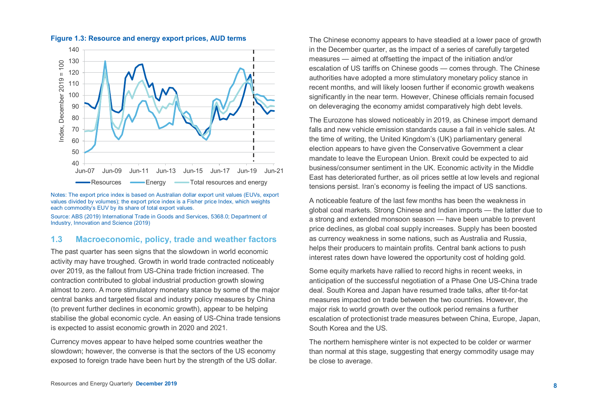

## **Figure 1.3: Resource and energy export prices, AUD terms**

Notes: The export price index is based on Australian dollar export unit values (EUVs, export values divided by volumes); the export price index is a Fisher price Index, which weights each commodity's EUV by its share of total export values.

Source: ABS (2019) International Trade in Goods and Services, 5368.0; Department of Industry, Innovation and Science (2019)

## **1.3 Macroeconomic, policy, trade and weather factors**

The past quarter has seen signs that the slowdown in world economic activity may have troughed. Growth in world trade contracted noticeably over 2019, as the fallout from US-China trade friction increased. The contraction contributed to global industrial production growth slowing almost to zero. A more stimulatory monetary stance by some of the major central banks and targeted fiscal and industry policy measures by China (to prevent further declines in economic growth), appear to be helping stabilise the global economic cycle. An easing of US-China trade tensions is expected to assist economic growth in 2020 and 2021.

Currency moves appear to have helped some countries weather the slowdown; however, the converse is that the sectors of the US economy exposed to foreign trade have been hurt by the strength of the US dollar.

The Chinese economy appears to have steadied at a lower pace of growth in the December quarter, as the impact of a series of carefully targeted measures — aimed at offsetting the impact of the initiation and/or escalation of US tariffs on Chinese goods — comes through. The Chinese authorities have adopted a more stimulatory monetary policy stance in recent months, and will likely loosen further if economic growth weakens significantly in the near term. However, Chinese officials remain focused on deleveraging the economy amidst comparatively high debt levels.

The Eurozone has slowed noticeably in 2019, as Chinese import demand falls and new vehicle emission standards cause a fall in vehicle sales. At the time of writing, the United Kingdom's (UK) parliamentary general election appears to have given the Conservative Government a clear mandate to leave the European Union. Brexit could be expected to aid business/consumer sentiment in the UK. Economic activity in the Middle East has deteriorated further, as oil prices settle at low levels and regional tensions persist. Iran's economy is feeling the impact of US sanctions.

A noticeable feature of the last few months has been the weakness in global coal markets. Strong Chinese and Indian imports — the latter due to a strong and extended monsoon season — have been unable to prevent price declines, as global coal supply increases. Supply has been boosted as currency weakness in some nations, such as Australia and Russia, helps their producers to maintain profits. Central bank actions to push interest rates down have lowered the opportunity cost of holding gold.

Some equity markets have rallied to record highs in recent weeks, in anticipation of the successful negotiation of a Phase One US-China trade deal. South Korea and Japan have resumed trade talks, after tit-for-tat measures impacted on trade between the two countries. However, the major risk to world growth over the outlook period remains a further escalation of protectionist trade measures between China, Europe, Japan, South Korea and the US.

The northern hemisphere winter is not expected to be colder or warmer than normal at this stage, suggesting that energy commodity usage may be close to average.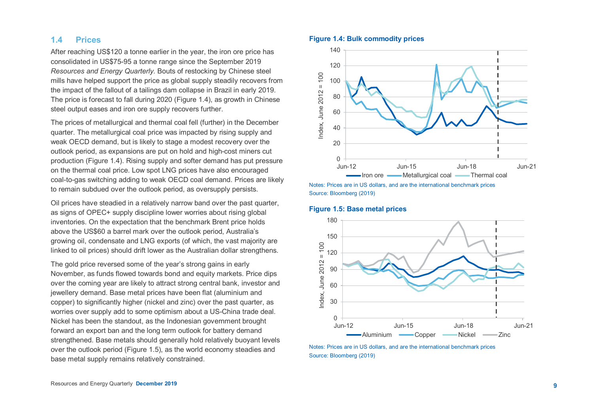# **1.4 Prices**

After reaching US\$120 a tonne earlier in the year, the iron ore price has consolidated in US\$75-95 a tonne range since the September 2019 *Resources and Energy Quarterly*. Bouts of restocking by Chinese steel mills have helped support the price as global supply steadily recovers from the impact of the fallout of a tailings dam collapse in Brazil in early 2019. The price is forecast to fall during 2020 (Figure 1.4), as growth in Chinese steel output eases and iron ore supply recovers further.

The prices of metallurgical and thermal coal fell (further) in the December quarter. The metallurgical coal price was impacted by rising supply and weak OECD demand, but is likely to stage a modest recovery over the outlook period, as expansions are put on hold and high-cost miners cut production (Figure 1.4). Rising supply and softer demand has put pressure on the thermal coal price. Low spot LNG prices have also encouraged coal-to-gas switching adding to weak OECD coal demand. Prices are likely to remain subdued over the outlook period, as oversupply persists.

Oil prices have steadied in a relatively narrow band over the past quarter, as signs of OPEC+ supply discipline lower worries about rising global inventories. On the expectation that the benchmark Brent price holds above the US\$60 a barrel mark over the outlook period, Australia's growing oil, condensate and LNG exports (of which, the vast majority are linked to oil prices) should drift lower as the Australian dollar strengthens.

The gold price reversed some of the year's strong gains in early November, as funds flowed towards bond and equity markets. Price dips over the coming year are likely to attract strong central bank, investor and jewellery demand. Base metal prices have been flat (aluminium and copper) to significantly higher (nickel and zinc) over the past quarter, as worries over supply add to some optimism about a US-China trade deal. Nickel has been the standout, as the Indonesian government brought forward an export ban and the long term outlook for battery demand strengthened. Base metals should generally hold relatively buoyant levels over the outlook period (Figure 1.5), as the world economy steadies and base metal supply remains relatively constrained.

#### **Figure 1.4: Bulk commodity prices**



Notes: Prices are in US dollars, and are the international benchmark prices Source: Bloomberg (2019)

## **Figure 1.5: Base metal prices**



Notes: Prices are in US dollars, and are the international benchmark prices Source: Bloomberg (2019)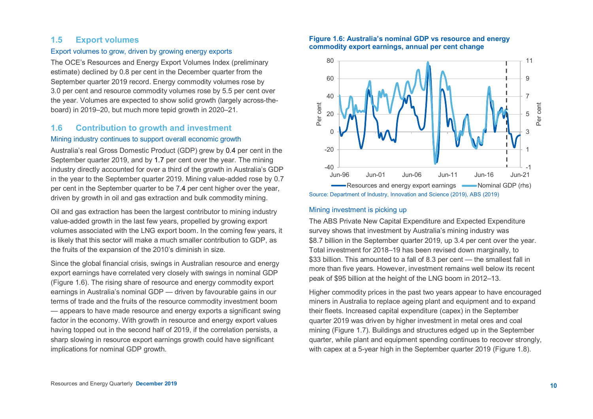# **1.5 Export volumes**

#### Export volumes to grow, driven by growing energy exports

The OCE's Resources and Energy Export Volumes Index (preliminary estimate) declined by 0.8 per cent in the December quarter from the September quarter 2019 record. Energy commodity volumes rose by 3.0 per cent and resource commodity volumes rose by 5.5 per cent over the year. Volumes are expected to show solid growth (largely across-theboard) in 2019–20, but much more tepid growth in 2020–21.

# **1.6 Contribution to growth and investment**

#### Mining industry continues to support overall economic growth

Australia's real Gross Domestic Product (GDP) grew by 0.4 per cent in the September quarter 2019, and by 1.7 per cent over the year. The mining industry directly accounted for over a third of the growth in Australia's GDP in the year to the September quarter 2019. Mining value-added rose by 0.7 per cent in the September quarter to be 7.4 per cent higher over the year, driven by growth in oil and gas extraction and bulk commodity mining.

Oil and gas extraction has been the largest contributor to mining industry value-added growth in the last few years, propelled by growing export volumes associated with the LNG export boom. In the coming few years, it is likely that this sector will make a much smaller contribution to GDP, as the fruits of the expansion of the 2010's diminish in size.

Since the global financial crisis, swings in Australian resource and energy export earnings have correlated very closely with swings in nominal GDP (Figure 1.6). The rising share of resource and energy commodity export earnings in Australia's nominal GDP — driven by favourable gains in our terms of trade and the fruits of the resource commodity investment boom — appears to have made resource and energy exports a significant swing factor in the economy. With growth in resource and energy export values having topped out in the second half of 2019, if the correlation persists, a sharp slowing in resource export earnings growth could have significant implications for nominal GDP growth.

#### **Figure 1.6: Australia's nominal GDP vs resource and energy commodity export earnings, annual per cent change**



#### Mining investment is picking up

The ABS Private New Capital Expenditure and Expected Expenditure survey shows that investment by Australia's mining industry was \$8.7 billion in the September quarter 2019, up 3.4 per cent over the year. Total investment for 2018–19 has been revised down marginally, to \$33 billion. This amounted to a fall of 8.3 per cent — the smallest fall in more than five years. However, investment remains well below its recent peak of \$95 billion at the height of the LNG boom in 2012–13.

Higher commodity prices in the past two years appear to have encouraged miners in Australia to replace ageing plant and equipment and to expand their fleets. Increased capital expenditure (capex) in the September quarter 2019 was driven by higher investment in metal ores and coal mining (Figure 1.7). Buildings and structures edged up in the September quarter, while plant and equipment spending continues to recover strongly, with capex at a 5-year high in the September quarter 2019 (Figure 1.8).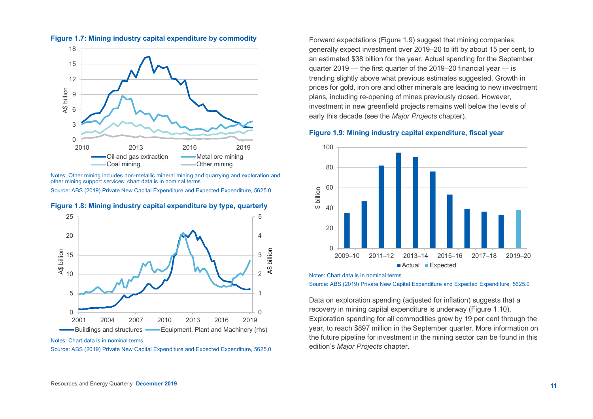

**Fi gure 1.7: Mining industry capital expenditure by commodity**

Notes: Other mining includes non-metallic mineral mining and quarrying and exploration and other mining support services; chart data is in nominal terms

Source: ABS (2019) Private New Capital Expenditure and Expected Expenditure, 5625.0



**Figure 1.8: Mining industry capital expenditure by type, quarterly**

Notes: Chart data is in nominal terms

Source: ABS (2019) Private New Capital Expenditure and Expected Expenditure, 5625.0

Forward expectations (Figure 1.9) suggest that mining companies generally expect investment over 2019–20 to lift by about 15 per cent, to an estimated \$38 billion for the year. Actual spending for the September quarter 2019 — the first quarter of the 2019–20 financial year — is trending slightly above what previous estimates suggested. Growth in prices for gold, iron ore and other minerals are leading to new investment plans, including re-opening of mines previously closed. However, investment in new greenfield projects remains well below the levels of early this decade (see the *Major Projects* chapter).

#### **Figure 1.9: Mining industry capital expenditure, fiscal year**



Notes: Chart data is in nominal terms

Source: ABS (2019) Private New Capital Expenditure and Expected Expenditure, 5625.0

Data on exploration spending (adjusted for inflation) suggests that a recovery in mining capital expenditure is underway (Figure 1.10). Exploration spending for all commodities grew by 19 per cent through the year, to reach \$897 million in the September quarter. More information on the future pipeline for investment in the mining sector can be found in this edition's *Major Projects* chapter.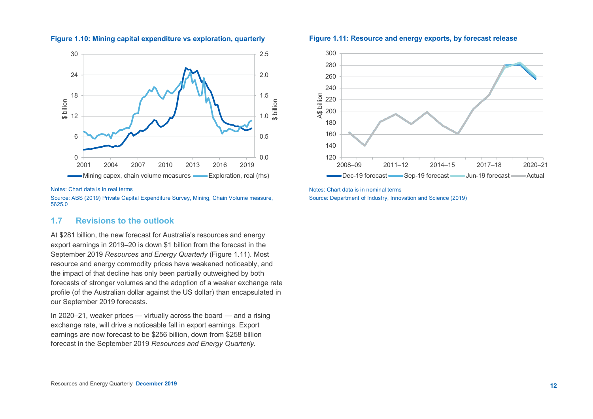

#### **Figure 1.10: Mining capital expenditure vs exploration, quarterly**

#### Notes: Chart data is in real terms

Source: ABS (2019) Private Capital Expenditure Survey, Mining, Chain Volume measure, 5625.0

# **1.7 Revisions to the outlook**

At \$281 billion, the new forecast for Australia's resources and energy export earnings in 2019–20 is down \$1 billion from the forecast in the September 2019 *Resources and Energy Quarterly* (Figure 1.11). Most resource and energy commodity prices have weakened noticeably, and the impact of that decline has only been partially outweighed by both forecasts of stronger volumes and the adoption of a weaker exchange rate profile (of the Australian dollar against the US dollar) than encapsulated in our September 2019 forecasts.

In 2020–21, weaker prices — virtually across the board — and a rising exchange rate, will drive a noticeable fall in export earnings. Export earnings are now forecast to be \$256 billion, down from \$258 billion forecast in the September 2019 *Resources and Energy Quarterly*.

#### **Figure 1.11: Resource and energy exports, by forecast release**



Notes: Chart data is in nominal terms Source: Department of Industry, Innovation and Science (2019)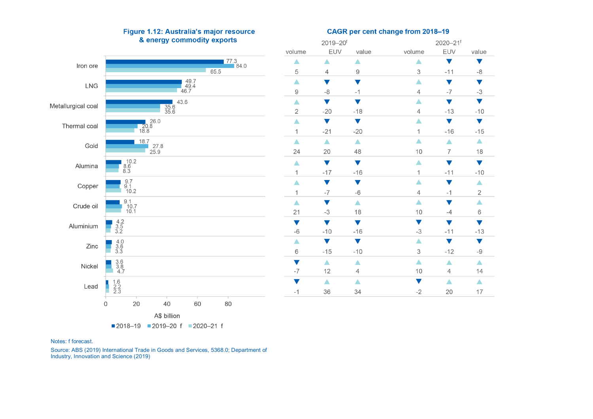

#### Figure 1.12: Australia's major resource & energy commodity exports

#### CAGR per cent change from 2018-19

2020-21f

2019-20f

| volume               | EUV              | value                | volume               | EUV              | value                |
|----------------------|------------------|----------------------|----------------------|------------------|----------------------|
| ▲                    | ▲                | ▲                    | Δ                    |                  | $\blacktriangledown$ |
| 5                    | $\overline{4}$   | 9                    | 3                    | $-11$            | -8                   |
| Δ                    |                  |                      | ▲                    | v                | V                    |
| 9                    | -8               | $-1$                 | $\overline{4}$       | $-7$             | -3                   |
| Δ                    |                  |                      | Δ                    |                  |                      |
| $\sqrt{2}$           | $-20$            | $-18$                | $\overline{4}$       | $-13$            | $-10$                |
| ▲                    | V                | $\blacktriangledown$ | $\blacktriangle$     |                  | $\blacktriangledown$ |
| $\mathbf{1}$         | $-21$            | $-20$                | $\mathbf{1}$         | $-16$            | $-15$                |
| ▲                    | Δ                | $\blacktriangle$     | Δ                    | $\blacktriangle$ | $\blacktriangle$     |
| 24                   | 20               | 48                   | 10                   | $\overline{7}$   | 18                   |
| ▲                    | V                | $\blacktriangledown$ | Δ                    |                  | $\blacktriangledown$ |
| $\mathbf{1}$         | $-17$            | $-16$                | $\overline{1}$       | $-11$            | $-10$                |
| $\blacktriangle$     | V                | V                    | ▲                    |                  | Δ                    |
| $\mathbf{1}$         | $-7$             | $-6$                 | $\overline{4}$       | $-1$             | $\mathbf{2}$         |
| $\blacktriangle$     |                  | ▲                    | ▲                    |                  | Δ                    |
| 21                   | -3               | 18                   | 10                   | $-4$             | 6                    |
| $\blacktriangledown$ | V                | $\blacktriangledown$ | $\blacktriangledown$ | v                | $\blacktriangledown$ |
| $-6$                 | $-10$            | $-16$                | -3                   | $-11$            | $-13$                |
| $\blacktriangle$     | ▼                | $\blacktriangledown$ | ▲                    | ▼                | $\blacktriangledown$ |
| 6                    | $-15$            | $-10$                | 3                    | $-12$            | -9                   |
| $\blacktriangledown$ | $\blacktriangle$ | ▲                    | Δ                    | Δ                | $\blacktriangle$     |
| $-7$                 | 12               | $\overline{4}$       | $10$                 | $\overline{4}$   | 14                   |
|                      | ▲                | Δ                    | V                    | Δ                | $\blacktriangle$     |
| $-1$                 | 36               | 34                   | $-2$                 | 20               | 17                   |

Notes: f forecast.

Source: ABS (2019) International Trade in Goods and Services, 5368.0; Department of Industry, Innovation and Science (2019)

2018-19 2019-20 f 2020-21 f